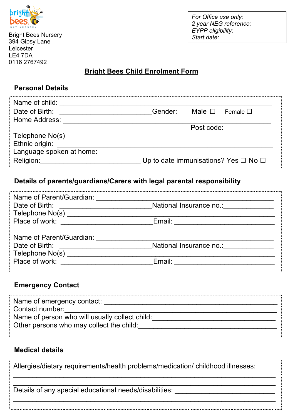

Bright Bees Nursery 394 Gipsy Lane **Leicester** LE4 7DA 0116 2767492

*For Office use only: 2 year NEG reference: EYPP eligibility: Start date:*

# **Bright Bees Child Enrolment Form**

### **Personal Details**

| Name of child:           |                                                |                |               |
|--------------------------|------------------------------------------------|----------------|---------------|
| Date of Birth:           | Gender:                                        | Male $\square$ | Female $\Box$ |
| Home Address:            |                                                |                |               |
|                          | Post code:                                     |                |               |
| Telephone No(s)          |                                                |                |               |
| Ethnic origin:           |                                                |                |               |
| Language spoken at home: |                                                |                |               |
| Religion:                | Up to date immunisations? Yes $\Box$ No $\Box$ |                |               |

### **Details of parents/guardians/Carers with legal parental responsibility**

| Name of Parent/Guardian:                                                                                                                |                         |  |
|-----------------------------------------------------------------------------------------------------------------------------------------|-------------------------|--|
| Date of Birth:                                                                                                                          | National Insurance no.: |  |
| Telephone No(s) __________________                                                                                                      |                         |  |
| Place of work:<br><u>and the state of the state of the state of the state of the state of the state of the state of the state of th</u> |                         |  |
|                                                                                                                                         |                         |  |
| Name of Parent/Guardian:                                                                                                                |                         |  |
| Date of Birth:                                                                                                                          | National Insurance no.: |  |
| Telephone No(s) ______________                                                                                                          |                         |  |
| Place of work:                                                                                                                          | Email:                  |  |
|                                                                                                                                         |                         |  |

### **Emergency Contact**

| Name of emergency contact:                     |
|------------------------------------------------|
| Contact number:                                |
| Name of person who will usually collect child: |
| Other persons who may collect the child:       |
|                                                |

### **Medical details**

Allergies/dietary requirements/health problems/medication/ childhood illnesses:

\_\_\_\_\_\_\_\_\_\_\_\_\_\_\_\_\_\_\_\_\_\_\_\_\_\_\_\_\_\_\_\_\_\_\_\_\_\_\_\_\_\_\_\_\_\_\_\_\_\_\_\_\_\_\_\_\_\_\_\_\_\_\_\_\_\_\_\_ \_\_\_\_\_\_\_\_\_\_\_\_\_\_\_\_\_\_\_\_\_\_\_\_\_\_\_\_\_\_\_\_\_\_\_\_\_\_\_\_\_\_\_\_\_\_\_\_\_\_\_\_\_\_\_\_\_\_\_\_\_\_\_\_\_\_\_\_

 $\_$ 

Details of any special educational needs/disabilities: